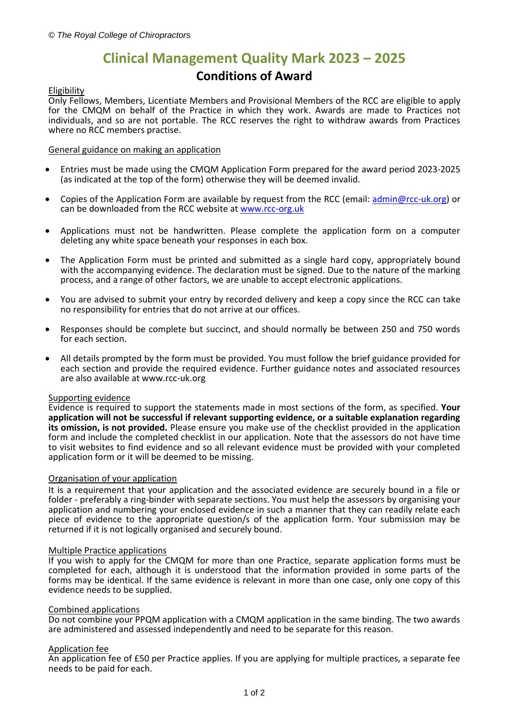# **Clinical Management Quality Mark 2023 – 2025**

# **Conditions of Award**

# Eligibility

Only Fellows, Members, Licentiate Members and Provisional Members of the RCC are eligible to apply for the CMQM on behalf of the Practice in which they work. Awards are made to Practices not individuals, and so are not portable. The RCC reserves the right to withdraw awards from Practices where no RCC members practise.

# General guidance on making an application

- Entries must be made using the CMQM Application Form prepared for the award period 2023-2025 (as indicated at the top of the form) otherwise they will be deemed invalid.
- Copies of the Application Form are available by request from the RCC (email: [admin@rcc-uk.org\)](mailto:admin@rcc-uk.org) or can be downloaded from the RCC website at [www.rcc-org.uk](http://www.rcc-org.uk/)
- Applications must not be handwritten. Please complete the application form on a computer deleting any white space beneath your responses in each box.
- The Application Form must be printed and submitted as a single hard copy, appropriately bound with the accompanying evidence. The declaration must be signed. Due to the nature of the marking process, and a range of other factors, we are unable to accept electronic applications.
- You are advised to submit your entry by recorded delivery and keep a copy since the RCC can take no responsibility for entries that do not arrive at our offices.
- Responses should be complete but succinct, and should normally be between 250 and 750 words for each section.
- All details prompted by the form must be provided. You must follow the brief guidance provided for each section and provide the required evidence. Further guidance notes and associated resources are also available at www.rcc-uk.org

#### Supporting evidence

Evidence is required to support the statements made in most sections of the form, as specified. **Your application will not be successful if relevant supporting evidence, or a suitable explanation regarding its omission, is not provided.** Please ensure you make use of the checklist provided in the application form and include the completed checklist in our application. Note that the assessors do not have time to visit websites to find evidence and so all relevant evidence must be provided with your completed application form or it will be deemed to be missing.

# Organisation of your application

It is a requirement that your application and the associated evidence are securely bound in a file or folder - preferably a ring-binder with separate sections. You must help the assessors by organising your application and numbering your enclosed evidence in such a manner that they can readily relate each piece of evidence to the appropriate question/s of the application form. Your submission may be returned if it is not logically organised and securely bound.

#### Multiple Practice applications

If you wish to apply for the CMQM for more than one Practice, separate application forms must be completed for each, although it is understood that the information provided in some parts of the forms may be identical. If the same evidence is relevant in more than one case, only one copy of this evidence needs to be supplied.

#### Combined applications

Do not combine your PPQM application with a CMQM application in the same binding. The two awards are administered and assessed independently and need to be separate for this reason.

# Application fee

An application fee of £50 per Practice applies. If you are applying for multiple practices, a separate fee needs to be paid for each.